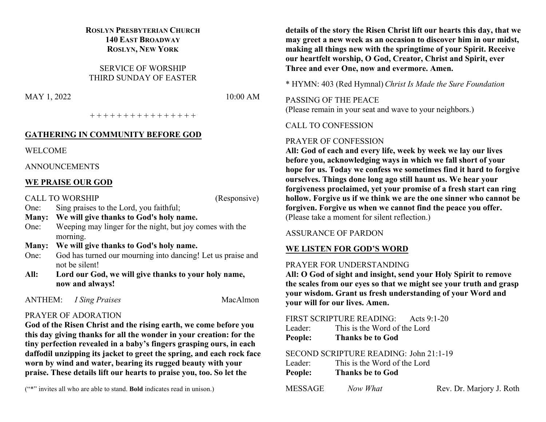#### **ROSLYN PRESBYTERIAN CHURCH 140 EAST BROADWAY ROSLYN, NEW YORK**

SERVICE OF WORSHIP THIRD SUNDAY OF EASTER

MAY 1, 2022 10:00 AM

+ + + + + + + + + + + + + + + +

#### **GATHERING IN COMMUNITY BEFORE GOD**

WELCOME

ANNOUNCEMENTS

#### **WE PRAISE OUR GOD**

CALL TO WORSHIP (Responsive)

One: Sing praises to the Lord, you faithful;

- **Many: We will give thanks to God's holy name.**
- One: Weeping may linger for the night, but joy comes with the morning.
- **Many: We will give thanks to God's holy name.**
- One: God has turned our mourning into dancing! Let us praise and not be silent!
- **All: Lord our God, we will give thanks to your holy name, now and always!**

ANTHEM: *I Sing Praises* MacAlmon

# PRAYER OF ADORATION

**God of the Risen Christ and the rising earth, we come before you this day giving thanks for all the wonder in your creation: for the tiny perfection revealed in a baby's fingers grasping ours, in each daffodil unzipping its jacket to greet the spring, and each rock face worn by wind and water, bearing its rugged beauty with your praise. These details lift our hearts to praise you, too. So let the** 

("\*" invites all who are able to stand. **Bold** indicates read in unison.)

**details of the story the Risen Christ lift our hearts this day, that we may greet a new week as an occasion to discover him in our midst, making all things new with the springtime of your Spirit. Receive our heartfelt worship, O God, Creator, Christ and Spirit, ever Three and ever One, now and evermore. Amen.**

\* HYMN: 403 (Red Hymnal) *Christ Is Made the Sure Foundation*

PASSING OF THE PEACE

(Please remain in your seat and wave to your neighbors.)

CALL TO CONFESSION

# PRAYER OF CONFESSION

**All: God of each and every life, week by week we lay our lives before you, acknowledging ways in which we fall short of your hope for us. Today we confess we sometimes find it hard to forgive ourselves. Things done long ago still haunt us. We hear your forgiveness proclaimed, yet your promise of a fresh start can ring hollow. Forgive us if we think we are the one sinner who cannot be forgiven. Forgive us when we cannot find the peace you offer.** (Please take a moment for silent reflection.)

#### ASSURANCE OF PARDON

#### **WE LISTEN FOR GOD'S WORD**

#### PRAYER FOR UNDERSTANDING

**All: O God of sight and insight, send your Holy Spirit to remove the scales from our eyes so that we might see your truth and grasp your wisdom. Grant us fresh understanding of your Word and your will for our lives. Amen.**

|         | FIRST SCRIPTURE READING: Acts 9:1-20 |  |
|---------|--------------------------------------|--|
| Leader: | This is the Word of the Lord         |  |
| People: | <b>Thanks be to God</b>              |  |
|         |                                      |  |

SECOND SCRIPTURE READING: John 21:1-19

| Leader: | This is the Word of the Lord |
|---------|------------------------------|
| People: | <b>Thanks be to God</b>      |

| $A\Gamma$ $\Omega$ $\Omega$ $\Lambda$ $\Omega$ $\Gamma$ | $\mathbf{M}$ . The set of $\mathbf{M}$ |
|---------------------------------------------------------|----------------------------------------|

MESSAGE *Now What* Rev. Dr. Marjory J. Roth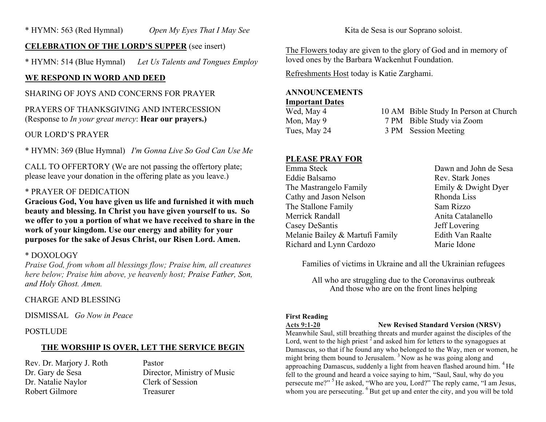### **CELEBRATION OF THE LORD'S SUPPER** (see insert)

\* HYMN: 514 (Blue Hymnal) *Let Us Talents and Tongues Employ*

# **WE RESPOND IN WORD AND DEED**

#### SHARING OF JOYS AND CONCERNS FOR PRAYER

# PRAYERS OF THANKSGIVING AND INTERCESSION (Response to *In your great mercy*: **Hear our prayers.)**

# OUR LORD'S PRAYER

\* HYMN: 369 (Blue Hymnal) *I'm Gonna Live So God Can Use Me*

CALL TO OFFERTORY (We are not passing the offertory plate; please leave your donation in the offering plate as you leave.)

# \* PRAYER OF DEDICATION

**Gracious God, You have given us life and furnished it with much beauty and blessing. In Christ you have given yourself to us. So we offer to you a portion of what we have received to share in the work of your kingdom. Use our energy and ability for your purposes for the sake of Jesus Christ, our Risen Lord. Amen.**

# \* DOXOLOGY

*Praise God, from whom all blessings flow; Praise him, all creatures here below; Praise him above, ye heavenly host; Praise Father, Son, and Holy Ghost. Amen.*

# CHARGE AND BLESSING

DISMISSAL *Go Now in Peace*

# POSTLUDE

# **THE WORSHIP IS OVER, LET THE SERVICE BEGIN**

Rev. Dr. Marjory J. Roth Pastor Dr. Natalie Naylor Clerk of Session Robert Gilmore Treasurer

Dr. Gary de Sesa Director, Ministry of Music

Kita de Sesa is our Soprano soloist.

The Flowers today are given to the glory of God and in memory of loved ones by the Barbara Wackenhut Foundation.

Refreshments Host today is Katie Zarghami.

# **ANNOUNCEMENTS**

#### **Important Dates**

Wed, May 4 10 AM Bible Study In Person at Church Mon, May 9 7 PM Bible Study via Zoom Tues, May 24 3 PM Session Meeting

### **PLEASE PRAY FOR**

| Dawn and John de Sesa |
|-----------------------|
| Rev. Stark Jones      |
| Emily & Dwight Dyer   |
| Rhonda Liss           |
| Sam Rizzo             |
| Anita Catalanello     |
| Jeff Lovering         |
| Edith Van Raalte      |
| Marie Idone           |
|                       |

Families of victims in Ukraine and all the Ukrainian refugees

All who are struggling due to the Coronavirus outbreak And those who are on the front lines helping

#### **First Reading**

**Acts 9:1-20 New Revised Standard Version (NRSV)**

Meanwhile Saul, still breathing threats and murder against the disciples of the Lord, went to the high priest  $2$  and asked him for letters to the synagogues at Damascus, so that if he found any who belonged to the Way, men or women, he might bring them bound to Jerusalem.<sup>3</sup> Now as he was going along and approaching Damascus, suddenly a light from heaven flashed around him. <sup>4</sup> He fell to the ground and heard a voice saying to him, "Saul, Saul, why do you persecute me?" <sup>5</sup> He asked, "Who are you, Lord?" The reply came, "I am Jesus, whom you are persecuting. <sup>6</sup> But get up and enter the city, and you will be told